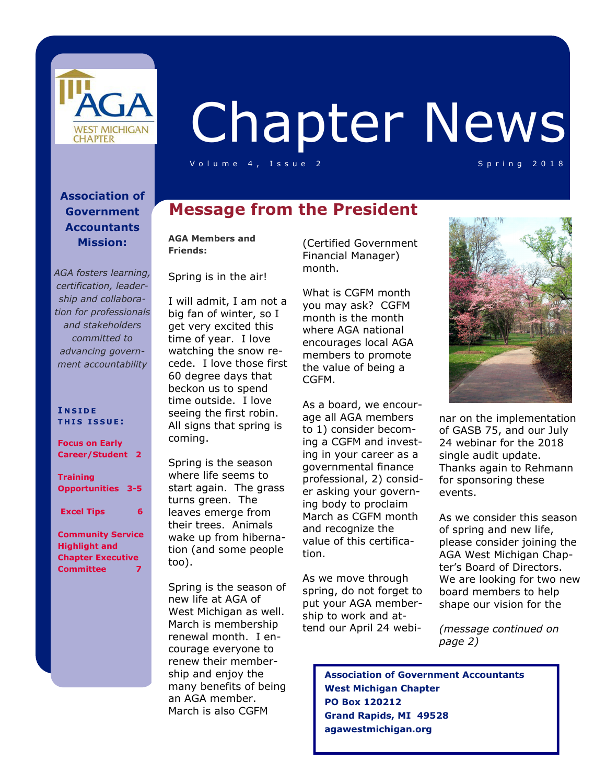

# Chapter News

Volume 4, Issue 2 Spring 2018

#### **Association of Government Accountants Mission:**

*AGA fosters learning, certification, leadership and collaboration for professionals and stakeholders committed to advancing government accountability*

#### **I N S I D E T H I S I S S U E :**

**Focus on Early Career/Student 2** 

**Training Opportunities 3-5** 

 **Excel Tips 6** 

**Community Service Highlight and Chapter Executive Committee 7** 

## **Message from the President**

**AGA Members and Friends:** 

Spring is in the air!

I will admit, I am not a big fan of winter, so I get very excited this time of year. I love watching the snow recede. I love those first 60 degree days that beckon us to spend time outside. I love seeing the first robin. All signs that spring is coming.

Spring is the season where life seems to start again. The grass turns green. The leaves emerge from their trees. Animals wake up from hibernation (and some people too).

Spring is the season of new life at AGA of West Michigan as well. March is membership renewal month. I encourage everyone to renew their membership and enjoy the many benefits of being an AGA member. March is also CGFM

(Certified Government Financial Manager) month.

What is CGFM month you may ask? CGFM month is the month where AGA national encourages local AGA members to promote the value of being a CGFM.

As a board, we encourage all AGA members to 1) consider becoming a CGFM and investing in your career as a governmental finance professional, 2) consider asking your governing body to proclaim March as CGFM month and recognize the value of this certification.

As we move through spring, do not forget to put your AGA membership to work and attend our April 24 webi-



nar on the implementation of GASB 75, and our July 24 webinar for the 2018 single audit update. Thanks again to Rehmann for sponsoring these events.

As we consider this season of spring and new life, please consider joining the AGA West Michigan Chapter's Board of Directors. We are looking for two new board members to help shape our vision for the

*(message continued on page 2)* 

 **Association of Government Accountants West Michigan Chapter PO Box 120212 Grand Rapids, MI 49528 agawestmichigan.org**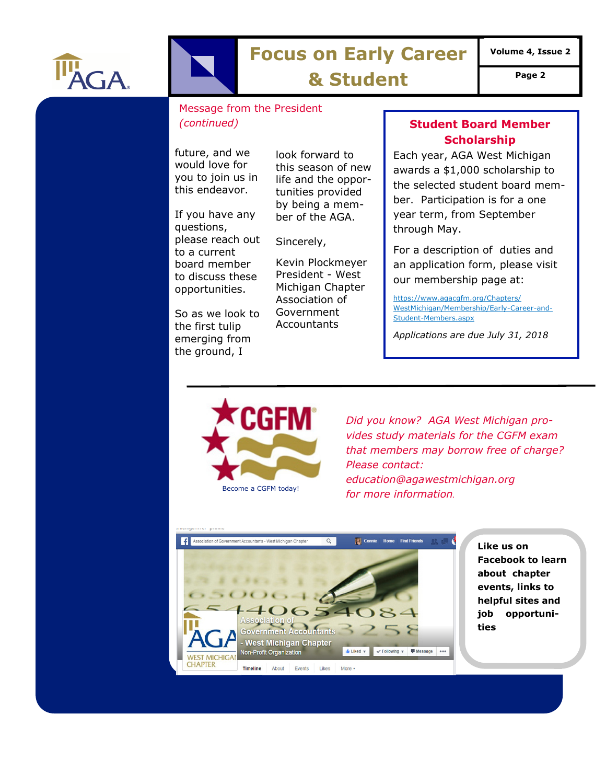

# **Focus on Early Career**

**Volume 4, Issue 2** 

**& Student Page 2** 

#### Message from the President *(continued)*

future, and we would love for you to join us in this endeavor.

If you have any questions, please reach out to a current board member to discuss these opportunities.

So as we look to the first tulip emerging from the ground, I

look forward to this season of new life and the opportunities provided by being a member of the AGA.

Sincerely,

Kevin Plockmeyer President - West Michigan Chapter Association of Government **Accountants** 

#### **Student Board Member Scholarship**

Each year, AGA West Michigan awards a \$1,000 scholarship to the selected student board member. Participation is for a one year term, from September through May.

For a description of duties and an application form, please visit our membership page at:

https://www.agacgfm.org/Chapters/ WestMichigan/Membership/Early-Career-and-Student-Members.aspx

*Applications are due July 31, 2018* 



*Did you know? AGA West Michigan provides study materials for the CGFM exam that members may borrow free of charge? Please contact: education@agawestmichigan.org for more information.*



**Like us on Facebook to learn about chapter events, links to helpful sites and job opportunities**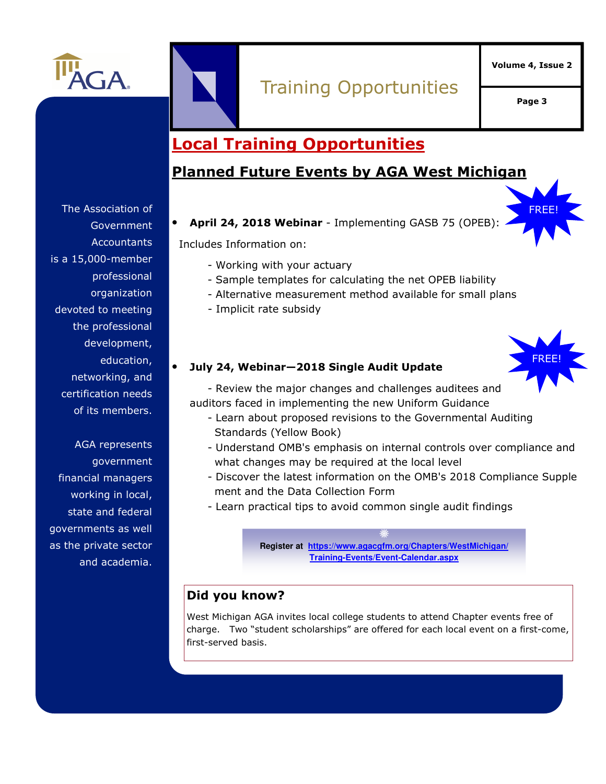

# Training Opportunities

**Volume 4, Issue 2** 

**Page 3** 

FREE!

## **Local Training Opportunities**

## **Planned Future Events by AGA West Michigan**

The Association of **Government Accountants** is a 15,000-member professional organization devoted to meeting the professional development, education, networking, and certification needs of its members.

AGA represents government financial managers working in local, state and federal governments as well as the private sector and academia.

#### • **April 24, 2018 Webinar** - Implementing GASB 75 (OPEB):

Includes Information on:

- Working with your actuary
- Sample templates for calculating the net OPEB liability
- Alternative measurement method available for small plans
- Implicit rate subsidy



#### • **July 24, Webinar—2018 Single Audit Update**

 - Review the major changes and challenges auditees and auditors faced in implementing the new Uniform Guidance

- Learn about proposed revisions to the Governmental Auditing Standards (Yellow Book)
- Understand OMB's emphasis on internal controls over compliance and what changes may be required at the local level
- Discover the latest information on the OMB's 2018 Compliance Supple ment and the Data Collection Form
- Learn practical tips to avoid common single audit findings

**Register at https://www.agacgfm.org/Chapters/WestMichigan/ Training-Events/Event-Calendar.aspx**

#### **Did you know?**

West Michigan AGA invites local college students to attend Chapter events free of charge. Two "student scholarships" are offered for each local event on a first-come, first-served basis.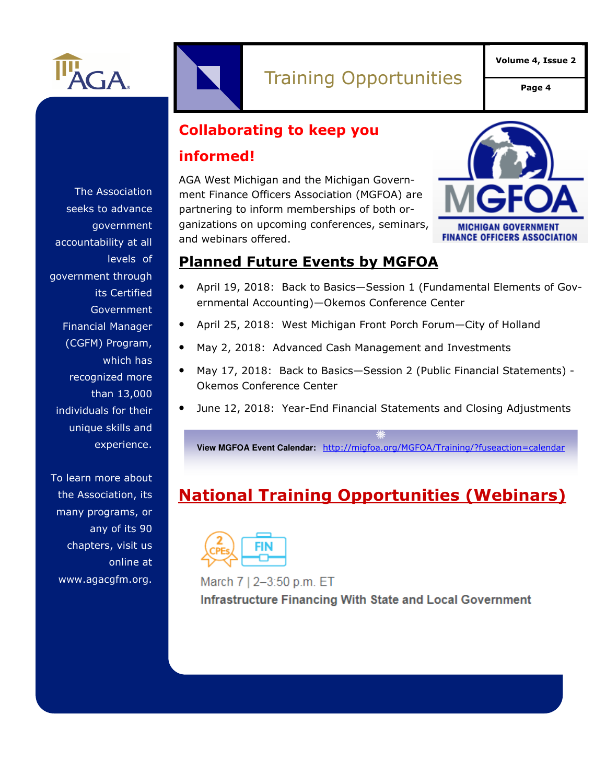

**Page 4** 

## **Collaborating to keep you**

### **informed!**

AGA West Michigan and the Michigan Government Finance Officers Association (MGFOA) are partnering to inform memberships of both organizations on upcoming conferences, seminars, and webinars offered.



## **Planned Future Events by MGFOA**

- April 19, 2018: Back to Basics—Session 1 (Fundamental Elements of Governmental Accounting)—Okemos Conference Center
- April 25, 2018: West Michigan Front Porch Forum—City of Holland
- May 2, 2018: Advanced Cash Management and Investments
- May 17, 2018: Back to Basics—Session 2 (Public Financial Statements) Okemos Conference Center
- June 12, 2018: Year-End Financial Statements and Closing Adjustments

**View MGFOA Event Calendar:** http://migfoa.org/MGFOA/Training/?fuseaction=calendar

# **National Training Opportunities (Webinars)**



March 7 | 2-3:50 p.m. ET **Infrastructure Financing With State and Local Government** 

The Association seeks to advance government accountability at all levels of government through its Certified Government Financial Manager (CGFM) Program, which has recognized more than 13,000 individuals for their unique skills and experience.

To learn more about the Association, its many programs, or any of its 90 chapters, visit us online at www.agacgfm.org.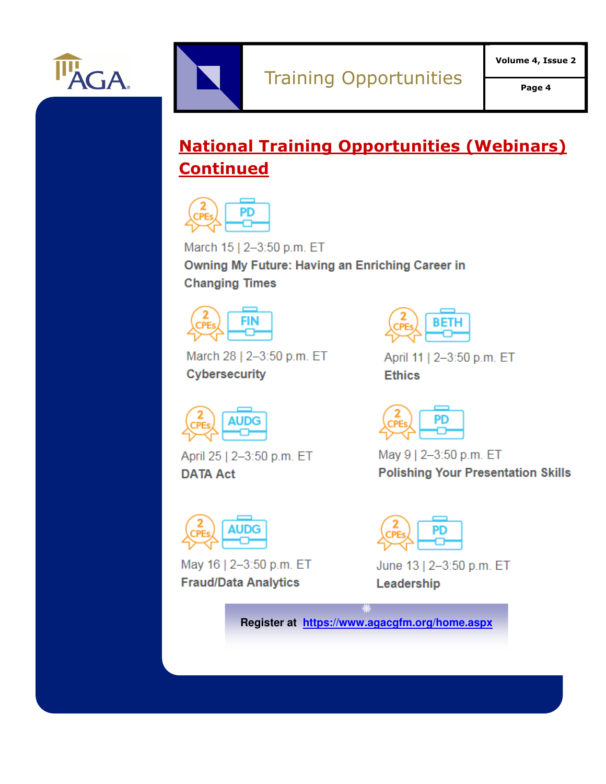

# **National Training Opportunities (Webinars) Continued**



March 15 | 2-3:50 p.m. ET Owning My Future: Having an Enriching Career in **Changing Times** 



March 28 | 2-3:50 p.m. ET **Cybersecurity** 



April 25 | 2-3:50 p.m. ET **DATA Act** 



May 16 | 2-3:50 p.m. ET **Fraud/Data Analytics** 



April 11 | 2-3:50 p.m. ET **Ethics** 



May 9 | 2-3:50 p.m. ET **Polishing Your Presentation Skills** 



June 13 | 2-3:50 p.m. ET Leadership

**Register at https://www.agacgfm.org/home.aspx**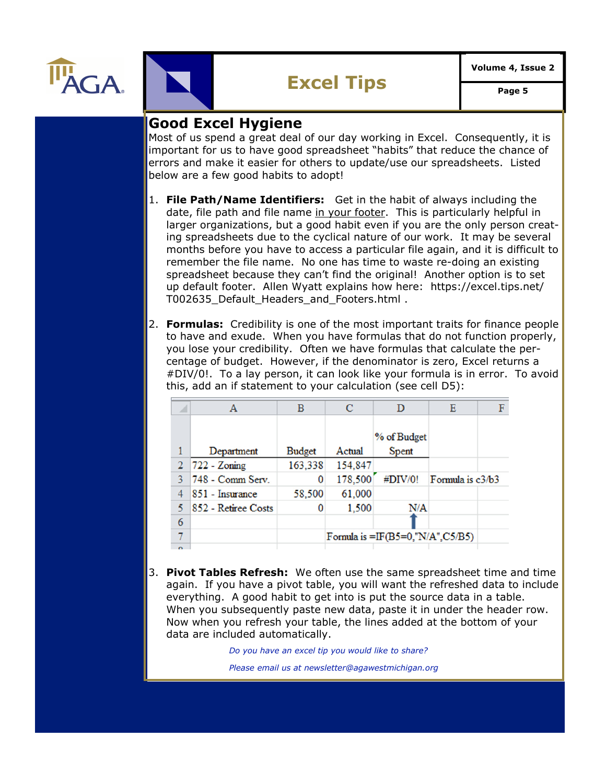



## **Good Excel Hygiene**

Most of us spend a great deal of our day working in Excel. Consequently, it is important for us to have good spreadsheet "habits" that reduce the chance of errors and make it easier for others to update/use our spreadsheets. Listed below are a few good habits to adopt!

- 1. **File Path/Name Identifiers:** Get in the habit of always including the date, file path and file name in your footer. This is particularly helpful in larger organizations, but a good habit even if you are the only person creating spreadsheets due to the cyclical nature of our work. It may be several months before you have to access a particular file again, and it is difficult to remember the file name. No one has time to waste re-doing an existing spreadsheet because they can't find the original! Another option is to set up default footer. Allen Wyatt explains how here: https://excel.tips.net/ T002635 Default Headers and Footers.html.
- 2. **Formulas:** Credibility is one of the most important traits for finance people to have and exude. When you have formulas that do not function properly, you lose your credibility. Often we have formulas that calculate the percentage of budget. However, if the denominator is zero, Excel returns a #DIV/0!. To a lay person, it can look like your formula is in error. To avoid this, add an if statement to your calculation (see cell D5):

| A      | A                   | B             | C                                   | D           | Ε                | F |
|--------|---------------------|---------------|-------------------------------------|-------------|------------------|---|
|        |                     |               |                                     |             |                  |   |
|        |                     |               |                                     | % of Budget |                  |   |
| 1      | Department          | <b>Budget</b> | Actual                              | Spent       |                  |   |
|        | $722 - Zoning$      | 163,338       | 154,847                             |             |                  |   |
|        | 748 - Comm Serv.    | 0             | 178,500                             | #DIV/0!     | Formula is c3/b3 |   |
|        | 851 - Insurance     | 58,500        | 61,000                              |             |                  |   |
|        | 852 - Retiree Costs | 0             | 1,500                               | N/A         |                  |   |
| 6      |                     |               |                                     |             |                  |   |
|        |                     |               | Formula is $=IF(B5=0,"N/A", C5/B5)$ |             |                  |   |
| $\sim$ |                     |               |                                     |             |                  |   |

3. **Pivot Tables Refresh:** We often use the same spreadsheet time and time again. If you have a pivot table, you will want the refreshed data to include everything. A good habit to get into is put the source data in a table. When you subsequently paste new data, paste it in under the header row. Now when you refresh your table, the lines added at the bottom of your data are included automatically.

*Do you have an excel tip you would like to share? Do you have an excel tip you would like to share?* 

*Please email us at newsletter@agawestmichigan.org Please email us at newsletter@agawestmichigan.org*